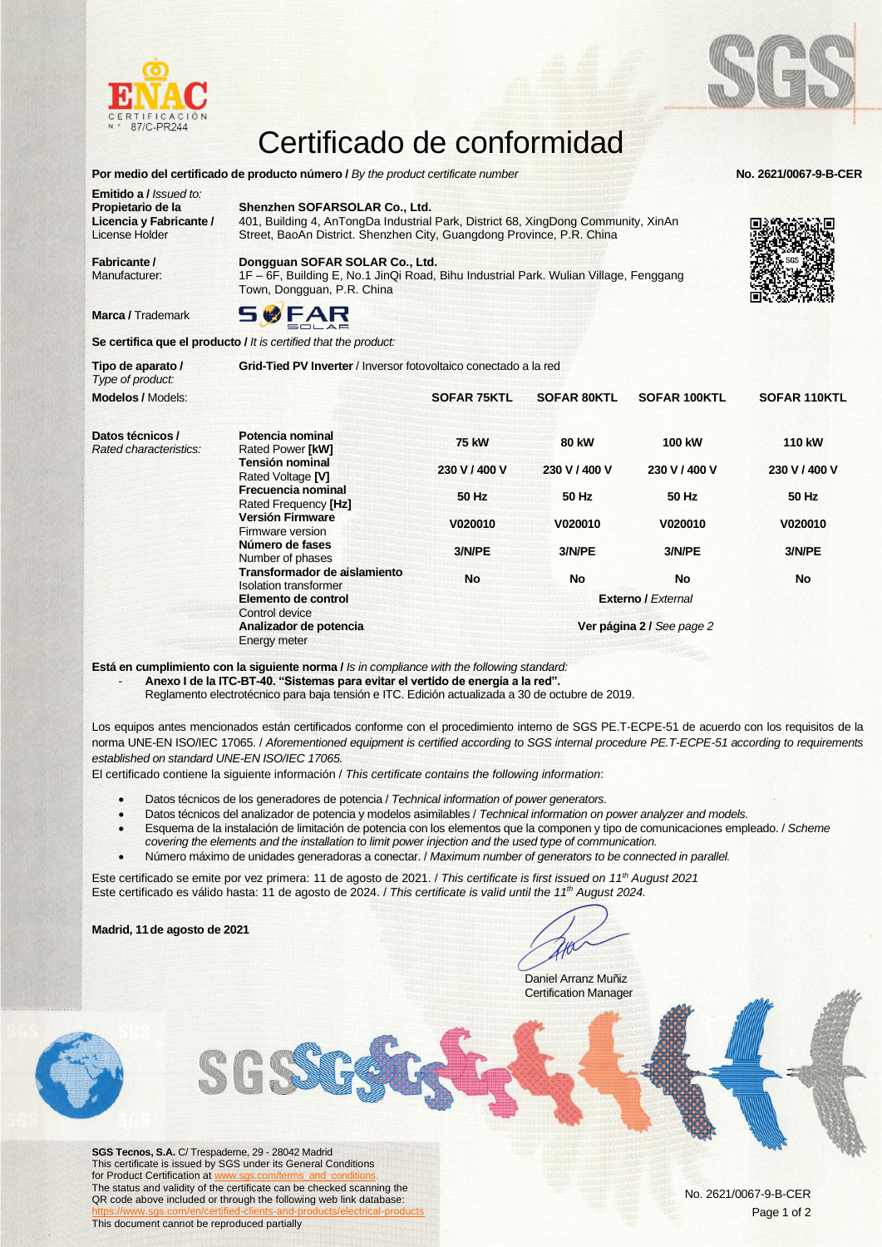



## Certificado de conformidad

**Por medio del certificado de producto número /** *By the product certificate number*<br> **Por medio del certificado de producto número /** *By the product certificate number* **Emitido a /** *Issued to:* **Propietario de la Licencia y Fabricante /** License Holder **Shenzhen SOFARSOLAR Co., Ltd.** 401, Building 4, AnTongDa Industrial Park, District 68, XingDong Community, XinAn Street, BaoAn District. Shenzhen City, Guangdong Province, P.R. China

**Fabricante /**  Manufacturer:

**Marca / Trademark** 

**Tipo de aparato /** 

**Dongguan SOFAR SOLAR Co., Ltd.** 1F – 6F, Building E, No.1 JinQi Road, Bihu Industrial Park. Wulian Village, Fenggang Town, Dongguan, P.R. China



**Se certifica que el producto /** *It is certified that the product:*

**Grid-Tied PV Inverter** / Inversor fotovoltaico conectado a la red



**Está en cumplimiento con la siguiente norma /** *Is in compliance with the following standard:*

- **Anexo I de la ITC-BT-40. "Sistemas para evitar el vertido de energía a la red".**

Reglamento electrotécnico para baja tensión e ITC. Edición actualizada a 30 de octubre de 2019.

Los equipos antes mencionados están certificados conforme con el procedimiento interno de SGS PE.T-ECPE-51 de acuerdo con los requisitos de la norma UNE-EN ISO/IEC 17065. / *Aforementioned equipment is certified according to SGS internal procedure PE.T-ECPE-51 according to requirements established on standard UNE-EN ISO/IEC 17065.*

El certificado contiene la siguiente información / *This certificate contains the following information*:

- Datos técnicos de los generadores de potencia / *Technical information of power generators.*
- Datos técnicos del analizador de potencia y modelos asimilables / *Technical information on power analyzer and models.*
- Esquema de la instalación de limitación de potencia con los elementos que la componen y tipo de comunicaciones empleado. / *Scheme covering the elements and the installation to limit power injection and the used type of communication.*
- Número máximo de unidades generadoras a conectar. / *Maximum number of generators to be connected in parallel.*

Este certificado se emite por vez primera: 11 de agosto de 2021. / *This certificate is first issued on 11th August 2021* Este certificado es válido hasta: 11 de agosto de 2024. / *This certificate is valid until the 11th August 2024.*

**Madrid, 11de agosto de 2021**

Daniel Arranz Muñiz Certification Manager



**SGS Tecnos, S.A.** C/ Trespaderne, 29 - 28042 Madrid This certificate is issued by SGS under its General Conditions for Product Certification at The status and validity of the certificate can be checked scanning the QR code above included or through the following web link database: <https://www.sgs.com/en/certified-clients-and-products/electrical-products> This document cannot be reproduced partially

No. 2621/0067-9-B-CER Page 1 of 2